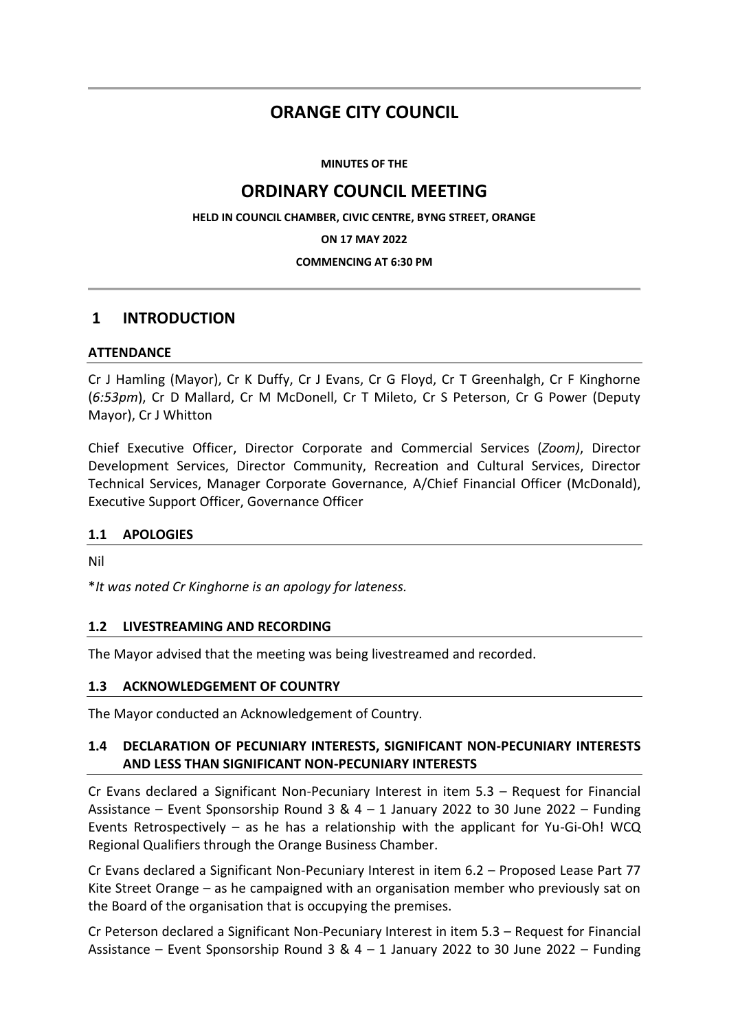# **ORANGE CITY COUNCIL**

**MINUTES OF THE**

# **ORDINARY COUNCIL MEETING**

**HELD IN COUNCIL CHAMBER, CIVIC CENTRE, BYNG STREET, ORANGE**

**ON 17 MAY 2022**

### **COMMENCING AT 6:30 PM**

## **1 INTRODUCTION**

### **ATTENDANCE**

Cr J Hamling (Mayor), Cr K Duffy, Cr J Evans, Cr G Floyd, Cr T Greenhalgh, Cr F Kinghorne (*6:53pm*), Cr D Mallard, Cr M McDonell, Cr T Mileto, Cr S Peterson, Cr G Power (Deputy Mayor), Cr J Whitton

Chief Executive Officer, Director Corporate and Commercial Services (*Zoom)*, Director Development Services, Director Community, Recreation and Cultural Services, Director Technical Services, Manager Corporate Governance, A/Chief Financial Officer (McDonald), Executive Support Officer, Governance Officer

### **1.1 APOLOGIES**

Nil

\**It was noted Cr Kinghorne is an apology for lateness.*

### **1.2 LIVESTREAMING AND RECORDING**

The Mayor advised that the meeting was being livestreamed and recorded.

### **1.3 ACKNOWLEDGEMENT OF COUNTRY**

The Mayor conducted an Acknowledgement of Country.

### **1.4 DECLARATION OF PECUNIARY INTERESTS, SIGNIFICANT NON-PECUNIARY INTERESTS AND LESS THAN SIGNIFICANT NON-PECUNIARY INTERESTS**

Cr Evans declared a Significant Non-Pecuniary Interest in item 5.3 – Request for Financial Assistance – Event Sponsorship Round 3 &  $4 - 1$  January 2022 to 30 June 2022 – Funding Events Retrospectively – as he has a relationship with the applicant for Yu-Gi-Oh! WCQ Regional Qualifiers through the Orange Business Chamber.

Cr Evans declared a Significant Non-Pecuniary Interest in item 6.2 – Proposed Lease Part 77 Kite Street Orange – as he campaigned with an organisation member who previously sat on the Board of the organisation that is occupying the premises.

Cr Peterson declared a Significant Non-Pecuniary Interest in item 5.3 – Request for Financial Assistance – Event Sponsorship Round 3 &  $4 - 1$  January 2022 to 30 June 2022 – Funding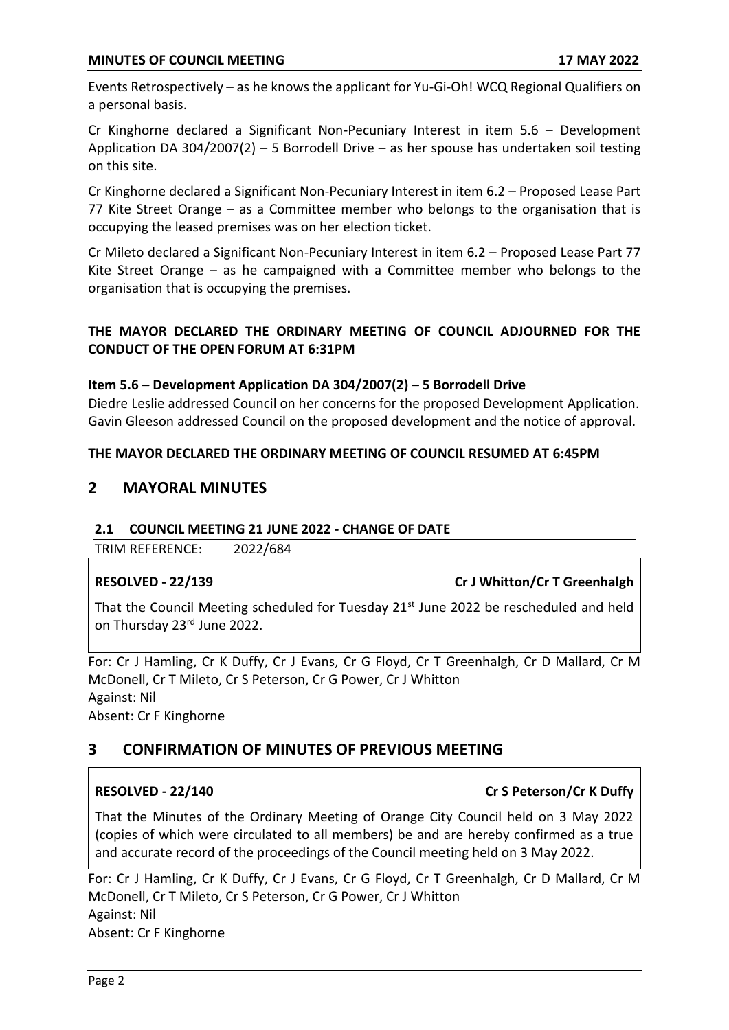Events Retrospectively – as he knows the applicant for Yu-Gi-Oh! WCQ Regional Qualifiers on a personal basis.

Cr Kinghorne declared a Significant Non-Pecuniary Interest in item 5.6 – Development Application DA 304/2007(2) – 5 Borrodell Drive – as her spouse has undertaken soil testing on this site.

Cr Kinghorne declared a Significant Non-Pecuniary Interest in item 6.2 – Proposed Lease Part 77 Kite Street Orange – as a Committee member who belongs to the organisation that is occupying the leased premises was on her election ticket.

Cr Mileto declared a Significant Non-Pecuniary Interest in item 6.2 – Proposed Lease Part 77 Kite Street Orange – as he campaigned with a Committee member who belongs to the organisation that is occupying the premises.

## **THE MAYOR DECLARED THE ORDINARY MEETING OF COUNCIL ADJOURNED FOR THE CONDUCT OF THE OPEN FORUM AT 6:31PM**

## **Item 5.6 – Development Application DA 304/2007(2) – 5 Borrodell Drive**

Diedre Leslie addressed Council on her concerns for the proposed Development Application. Gavin Gleeson addressed Council on the proposed development and the notice of approval.

### **THE MAYOR DECLARED THE ORDINARY MEETING OF COUNCIL RESUMED AT 6:45PM**

## **2 MAYORAL MINUTES**

### **2.1 COUNCIL MEETING 21 JUNE 2022 - CHANGE OF DATE**

TRIM REFERENCE: 2022/684

## **RESOLVED - 22/139 Cr J Whitton/Cr T Greenhalgh**

That the Council Meeting scheduled for Tuesday 21<sup>st</sup> June 2022 be rescheduled and held on Thursday 23rd June 2022.

For: Cr J Hamling, Cr K Duffy, Cr J Evans, Cr G Floyd, Cr T Greenhalgh, Cr D Mallard, Cr M McDonell, Cr T Mileto, Cr S Peterson, Cr G Power, Cr J Whitton Against: Nil Absent: Cr F Kinghorne

## **3 CONFIRMATION OF MINUTES OF PREVIOUS MEETING**

## **RESOLVED - 22/140 Cr S Peterson/Cr K Duffy**

That the Minutes of the Ordinary Meeting of Orange City Council held on 3 May 2022 (copies of which were circulated to all members) be and are hereby confirmed as a true and accurate record of the proceedings of the Council meeting held on 3 May 2022.

For: Cr J Hamling, Cr K Duffy, Cr J Evans, Cr G Floyd, Cr T Greenhalgh, Cr D Mallard, Cr M McDonell, Cr T Mileto, Cr S Peterson, Cr G Power, Cr J Whitton Against: Nil Absent: Cr F Kinghorne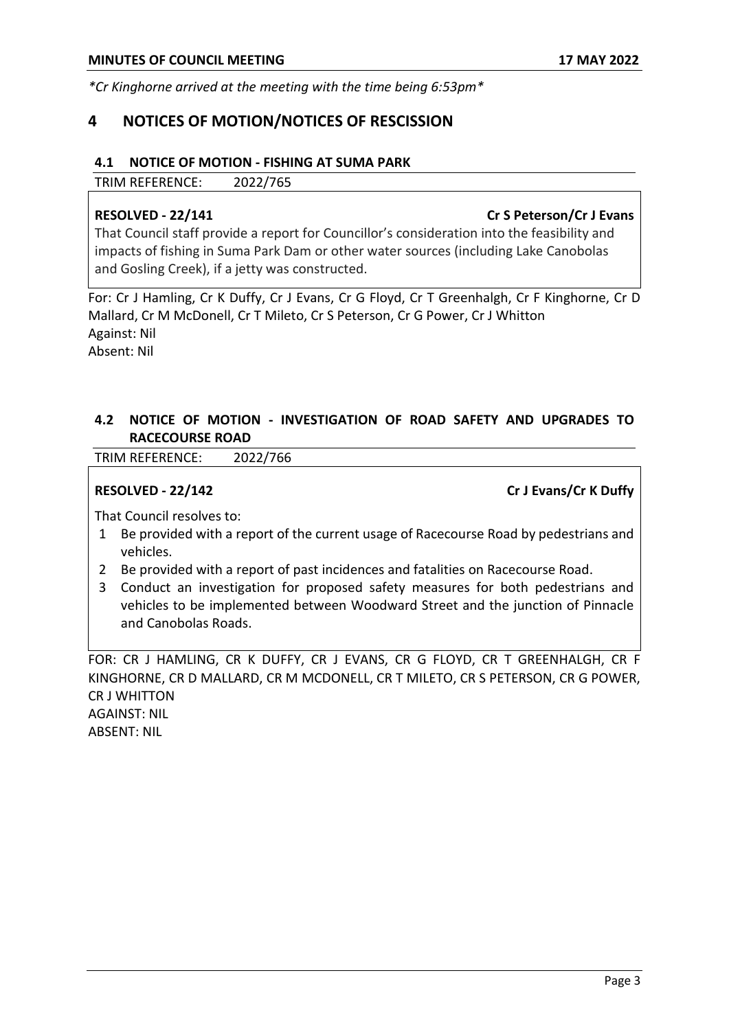*\*Cr Kinghorne arrived at the meeting with the time being 6:53pm\**

## **4 NOTICES OF MOTION/NOTICES OF RESCISSION**

### **4.1 NOTICE OF MOTION - FISHING AT SUMA PARK**

TRIM REFERENCE: 2022/765

### **RESOLVED - 22/141 Cr S Peterson/Cr J Evans**

That Council staff provide a report for Councillor's consideration into the feasibility and impacts of fishing in Suma Park Dam or other water sources (including Lake Canobolas and Gosling Creek), if a jetty was constructed.

For: Cr J Hamling, Cr K Duffy, Cr J Evans, Cr G Floyd, Cr T Greenhalgh, Cr F Kinghorne, Cr D Mallard, Cr M McDonell, Cr T Mileto, Cr S Peterson, Cr G Power, Cr J Whitton Against: Nil Absent: Nil

## **4.2 NOTICE OF MOTION - INVESTIGATION OF ROAD SAFETY AND UPGRADES TO RACECOURSE ROAD**

TRIM REFERENCE: 2022/766

**RESOLVED - 22/142 Cr J Evans/Cr K Duffy** 

That Council resolves to:

- 1 Be provided with a report of the current usage of Racecourse Road by pedestrians and vehicles.
- 2 Be provided with a report of past incidences and fatalities on Racecourse Road.
- 3 Conduct an investigation for proposed safety measures for both pedestrians and vehicles to be implemented between Woodward Street and the junction of Pinnacle and Canobolas Roads.

FOR: CR J HAMLING, CR K DUFFY, CR J EVANS, CR G FLOYD, CR T GREENHALGH, CR F KINGHORNE, CR D MALLARD, CR M MCDONELL, CR T MILETO, CR S PETERSON, CR G POWER, CR J WHITTON AGAINST: NIL

ABSENT: NIL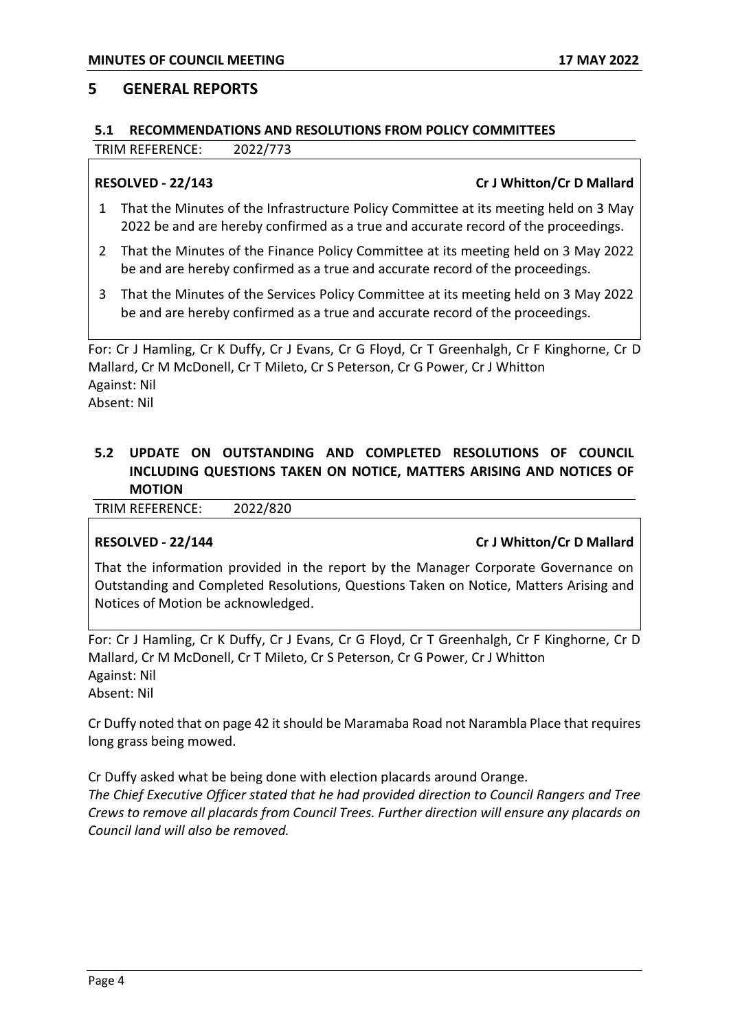### **5 GENERAL REPORTS**

### **5.1 RECOMMENDATIONS AND RESOLUTIONS FROM POLICY COMMITTEES**

TRIM REFERENCE: 2022/773

### **RESOLVED - 22/143 Cr J Whitton/Cr D Mallard**

- 1 That the Minutes of the Infrastructure Policy Committee at its meeting held on 3 May 2022 be and are hereby confirmed as a true and accurate record of the proceedings.
- 2 That the Minutes of the Finance Policy Committee at its meeting held on 3 May 2022 be and are hereby confirmed as a true and accurate record of the proceedings.
- 3 That the Minutes of the Services Policy Committee at its meeting held on 3 May 2022 be and are hereby confirmed as a true and accurate record of the proceedings.

For: Cr J Hamling, Cr K Duffy, Cr J Evans, Cr G Floyd, Cr T Greenhalgh, Cr F Kinghorne, Cr D Mallard, Cr M McDonell, Cr T Mileto, Cr S Peterson, Cr G Power, Cr J Whitton Against: Nil Absent: Nil

## **5.2 UPDATE ON OUTSTANDING AND COMPLETED RESOLUTIONS OF COUNCIL INCLUDING QUESTIONS TAKEN ON NOTICE, MATTERS ARISING AND NOTICES OF MOTION**

TRIM REFERENCE: 2022/820

### **RESOLVED - 22/144 Cr J Whitton/Cr D Mallard**

That the information provided in the report by the Manager Corporate Governance on Outstanding and Completed Resolutions, Questions Taken on Notice, Matters Arising and Notices of Motion be acknowledged.

For: Cr J Hamling, Cr K Duffy, Cr J Evans, Cr G Floyd, Cr T Greenhalgh, Cr F Kinghorne, Cr D Mallard, Cr M McDonell, Cr T Mileto, Cr S Peterson, Cr G Power, Cr J Whitton Against: Nil Absent: Nil

Cr Duffy noted that on page 42 it should be Maramaba Road not Narambla Place that requires long grass being mowed.

Cr Duffy asked what be being done with election placards around Orange.

*The Chief Executive Officer stated that he had provided direction to Council Rangers and Tree Crews to remove all placards from Council Trees. Further direction will ensure any placards on Council land will also be removed.*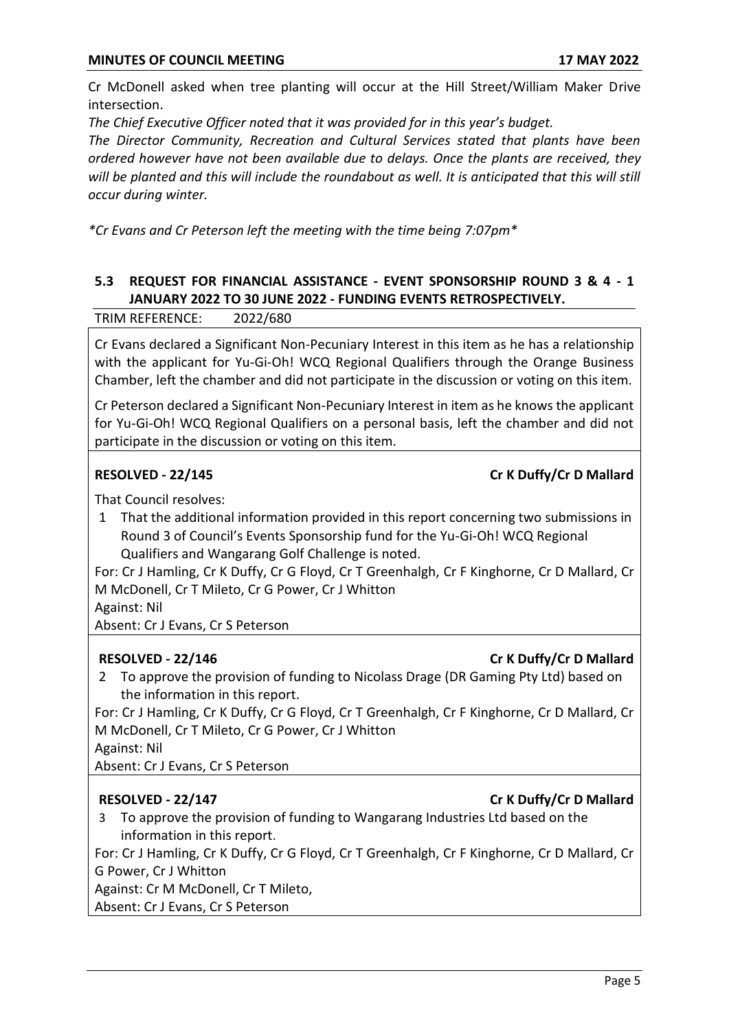Cr McDonell asked when tree planting will occur at the Hill Street/William Maker Drive intersection.

*The Chief Executive Officer noted that it was provided for in this year's budget.*

*The Director Community, Recreation and Cultural Services stated that plants have been ordered however have not been available due to delays. Once the plants are received, they will be planted and this will include the roundabout as well. It is anticipated that this will still occur during winter.*

*\*Cr Evans and Cr Peterson left the meeting with the time being 7:07pm\**

## **5.3 REQUEST FOR FINANCIAL ASSISTANCE - EVENT SPONSORSHIP ROUND 3 & 4 - 1 JANUARY 2022 TO 30 JUNE 2022 - FUNDING EVENTS RETROSPECTIVELY.**

TRIM REFERENCE: 2022/680

Cr Evans declared a Significant Non-Pecuniary Interest in this item as he has a relationship with the applicant for Yu-Gi-Oh! WCQ Regional Qualifiers through the Orange Business Chamber, left the chamber and did not participate in the discussion or voting on this item.

Cr Peterson declared a Significant Non-Pecuniary Interest in item as he knows the applicant for Yu-Gi-Oh! WCQ Regional Qualifiers on a personal basis, left the chamber and did not participate in the discussion or voting on this item.

### **RESOLVED - 22/145 Cr K Duffy/Cr D Mallard**

That Council resolves:

1 That the additional information provided in this report concerning two submissions in Round 3 of Council's Events Sponsorship fund for the Yu-Gi-Oh! WCQ Regional Qualifiers and Wangarang Golf Challenge is noted.

For: Cr J Hamling, Cr K Duffy, Cr G Floyd, Cr T Greenhalgh, Cr F Kinghorne, Cr D Mallard, Cr M McDonell, Cr T Mileto, Cr G Power, Cr J Whitton

Against: Nil

Absent: Cr J Evans, Cr S Peterson

## **RESOLVED - 22/146 Cr K Duffy/Cr D Mallard**

2 To approve the provision of funding to Nicolass Drage (DR Gaming Pty Ltd) based on the information in this report.

For: Cr J Hamling, Cr K Duffy, Cr G Floyd, Cr T Greenhalgh, Cr F Kinghorne, Cr D Mallard, Cr M McDonell, Cr T Mileto, Cr G Power, Cr J Whitton

Against: Nil

Absent: Cr J Evans, Cr S Peterson

## **RESOLVED - 22/147 Cr K Duffy/Cr D Mallard**

3 To approve the provision of funding to Wangarang Industries Ltd based on the information in this report.

For: Cr J Hamling, Cr K Duffy, Cr G Floyd, Cr T Greenhalgh, Cr F Kinghorne, Cr D Mallard, Cr G Power, Cr J Whitton

Against: Cr M McDonell, Cr T Mileto,

Absent: Cr J Evans, Cr S Peterson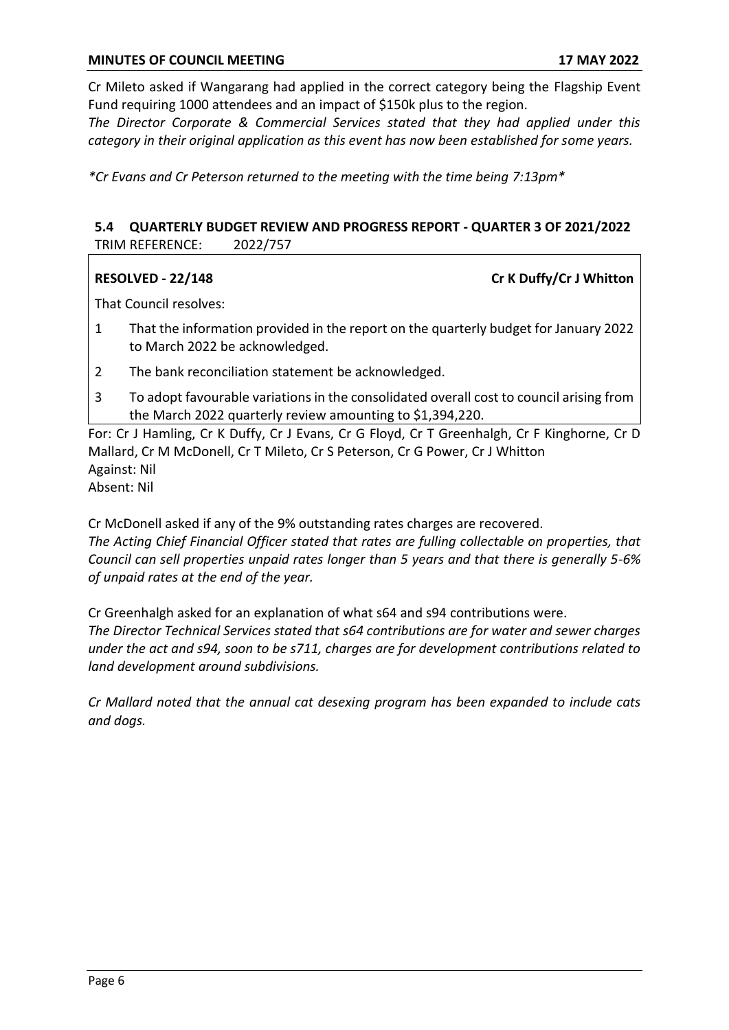Cr Mileto asked if Wangarang had applied in the correct category being the Flagship Event Fund requiring 1000 attendees and an impact of \$150k plus to the region.

*The Director Corporate & Commercial Services stated that they had applied under this category in their original application as this event has now been established for some years.*

*\*Cr Evans and Cr Peterson returned to the meeting with the time being 7:13pm\**

## **5.4 QUARTERLY BUDGET REVIEW AND PROGRESS REPORT - QUARTER 3 OF 2021/2022** TRIM REFERENCE: 2022/757

**RESOLVED - 22/148 Cr K Duffy/Cr J Whitton** 

That Council resolves:

- 1 That the information provided in the report on the quarterly budget for January 2022 to March 2022 be acknowledged.
- 2 The bank reconciliation statement be acknowledged.
- 3 To adopt favourable variations in the consolidated overall cost to council arising from the March 2022 quarterly review amounting to \$1,394,220.

For: Cr J Hamling, Cr K Duffy, Cr J Evans, Cr G Floyd, Cr T Greenhalgh, Cr F Kinghorne, Cr D Mallard, Cr M McDonell, Cr T Mileto, Cr S Peterson, Cr G Power, Cr J Whitton Against: Nil

Absent: Nil

Cr McDonell asked if any of the 9% outstanding rates charges are recovered. *The Acting Chief Financial Officer stated that rates are fulling collectable on properties, that Council can sell properties unpaid rates longer than 5 years and that there is generally 5-6% of unpaid rates at the end of the year.*

Cr Greenhalgh asked for an explanation of what s64 and s94 contributions were.

*The Director Technical Services stated that s64 contributions are for water and sewer charges under the act and s94, soon to be s711, charges are for development contributions related to land development around subdivisions.*

*Cr Mallard noted that the annual cat desexing program has been expanded to include cats and dogs.*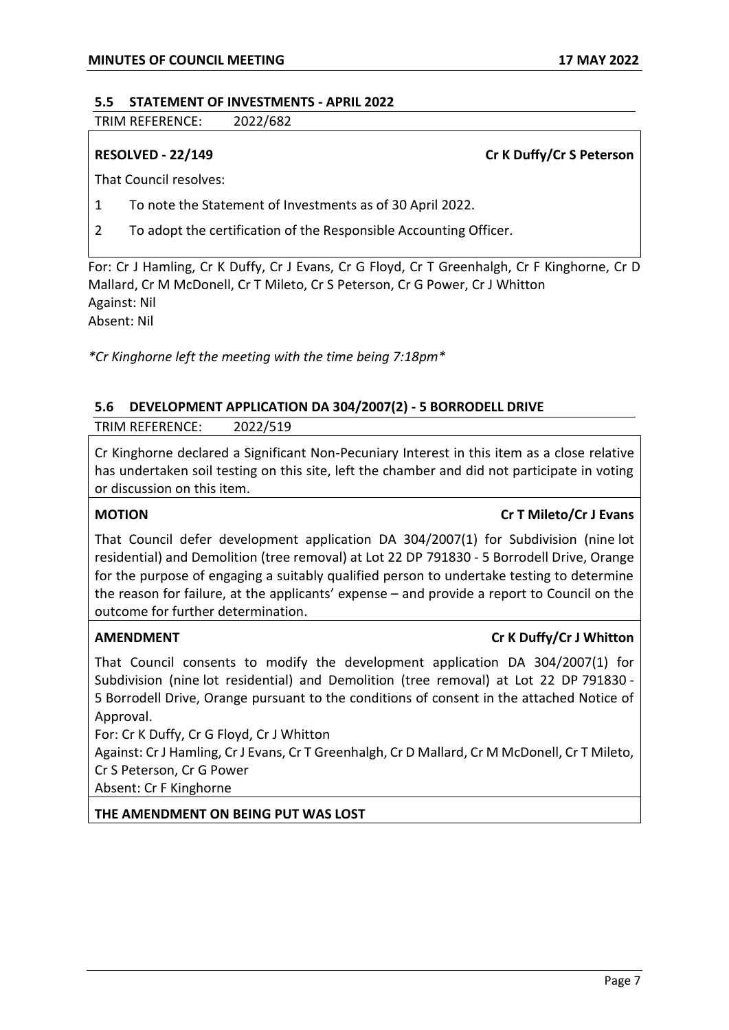### **5.5 STATEMENT OF INVESTMENTS - APRIL 2022**

TRIM REFERENCE: 2022/682

**RESOLVED - 22/149 Cr K Duffy/Cr S Peterson** 

That Council resolves:

- 1 To note the Statement of Investments as of 30 April 2022.
- 2 To adopt the certification of the Responsible Accounting Officer.

For: Cr J Hamling, Cr K Duffy, Cr J Evans, Cr G Floyd, Cr T Greenhalgh, Cr F Kinghorne, Cr D Mallard, Cr M McDonell, Cr T Mileto, Cr S Peterson, Cr G Power, Cr J Whitton Against: Nil Absent: Nil

*\*Cr Kinghorne left the meeting with the time being 7:18pm\**

### **5.6 DEVELOPMENT APPLICATION DA 304/2007(2) - 5 BORRODELL DRIVE**

TRIM REFERENCE: 2022/519

Cr Kinghorne declared a Significant Non-Pecuniary Interest in this item as a close relative has undertaken soil testing on this site, left the chamber and did not participate in voting or discussion on this item.

### **MOTION Cr T Mileto/Cr J Evans**

That Council defer development application DA 304/2007(1) for Subdivision (nine lot residential) and Demolition (tree removal) at Lot 22 DP 791830 - 5 Borrodell Drive, Orange for the purpose of engaging a suitably qualified person to undertake testing to determine the reason for failure, at the applicants' expense – and provide a report to Council on the outcome for further determination.

## **AMENDMENT Cr K Duffy/Cr J Whitton**

That Council consents to modify the development application DA 304/2007(1) for Subdivision (nine lot residential) and Demolition (tree removal) at Lot 22 DP 791830 - 5 Borrodell Drive, Orange pursuant to the conditions of consent in the attached Notice of Approval.

For: Cr K Duffy, Cr G Floyd, Cr J Whitton

Against: Cr J Hamling, Cr J Evans, Cr T Greenhalgh, Cr D Mallard, Cr M McDonell, Cr T Mileto, Cr S Peterson, Cr G Power

Absent: Cr F Kinghorne

**THE AMENDMENT ON BEING PUT WAS LOST**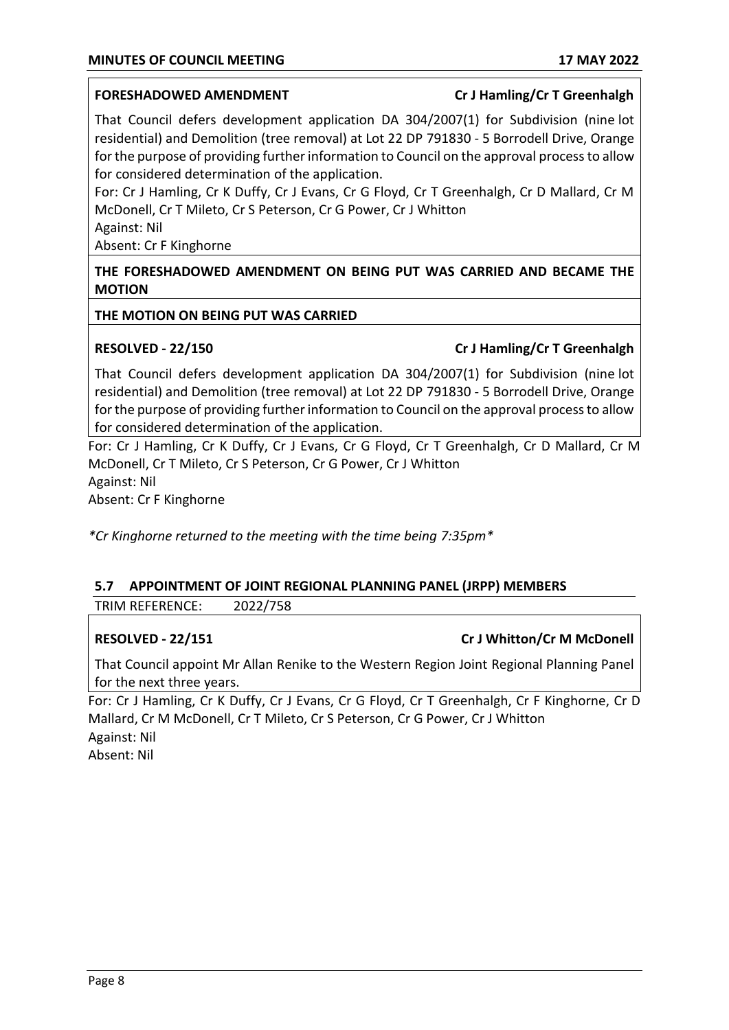### **FORESHADOWED AMENDMENT Cr J Hamling/Cr T Greenhalgh**

That Council defers development application DA 304/2007(1) for Subdivision (nine lot residential) and Demolition (tree removal) at Lot 22 DP 791830 - 5 Borrodell Drive, Orange for the purpose of providing further information to Council on the approval process to allow for considered determination of the application.

For: Cr J Hamling, Cr K Duffy, Cr J Evans, Cr G Floyd, Cr T Greenhalgh, Cr D Mallard, Cr M McDonell, Cr T Mileto, Cr S Peterson, Cr G Power, Cr J Whitton

Against: Nil

Absent: Cr F Kinghorne

**THE FORESHADOWED AMENDMENT ON BEING PUT WAS CARRIED AND BECAME THE MOTION**

### **THE MOTION ON BEING PUT WAS CARRIED**

### **RESOLVED - 22/150 Cr J Hamling/Cr T Greenhalgh**

That Council defers development application DA 304/2007(1) for Subdivision (nine lot residential) and Demolition (tree removal) at Lot 22 DP 791830 - 5 Borrodell Drive, Orange for the purpose of providing further information to Council on the approval process to allow for considered determination of the application.

For: Cr J Hamling, Cr K Duffy, Cr J Evans, Cr G Floyd, Cr T Greenhalgh, Cr D Mallard, Cr M McDonell, Cr T Mileto, Cr S Peterson, Cr G Power, Cr J Whitton Against: Nil

Absent: Cr F Kinghorne

*\*Cr Kinghorne returned to the meeting with the time being 7:35pm\**

## **5.7 APPOINTMENT OF JOINT REGIONAL PLANNING PANEL (JRPP) MEMBERS**

TRIM REFERENCE: 2022/758

## **RESOLVED - 22/151 Cr J Whitton/Cr M McDonell**

That Council appoint Mr Allan Renike to the Western Region Joint Regional Planning Panel for the next three years.

For: Cr J Hamling, Cr K Duffy, Cr J Evans, Cr G Floyd, Cr T Greenhalgh, Cr F Kinghorne, Cr D Mallard, Cr M McDonell, Cr T Mileto, Cr S Peterson, Cr G Power, Cr J Whitton Against: Nil Absent: Nil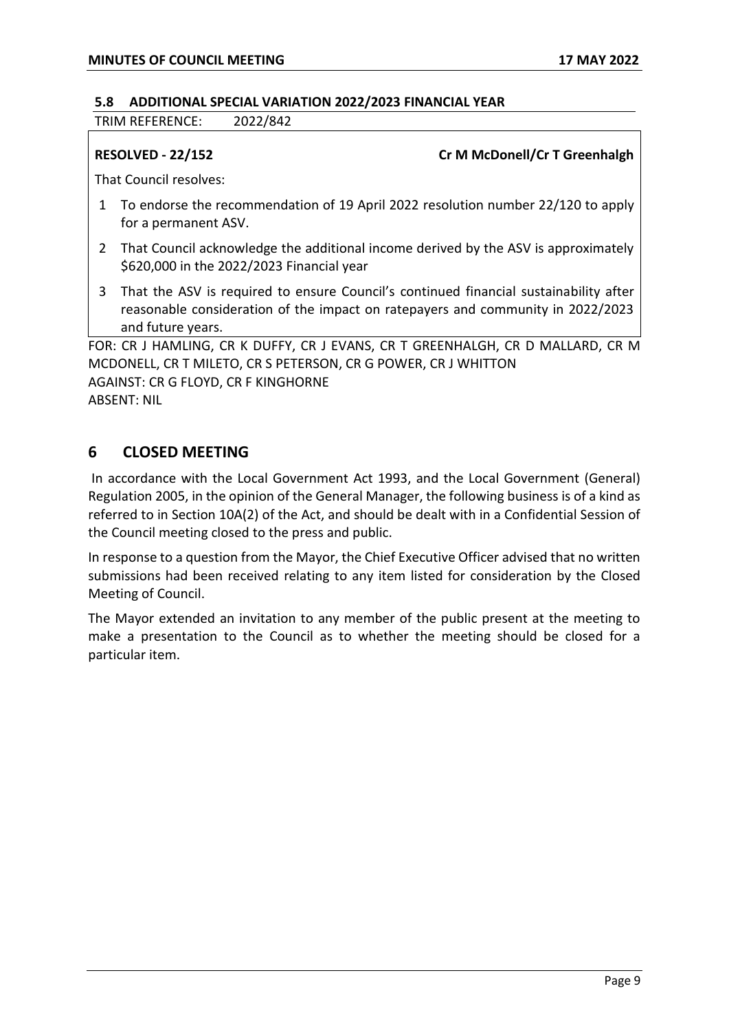### **5.8 ADDITIONAL SPECIAL VARIATION 2022/2023 FINANCIAL YEAR**

TRIM REFERENCE: 2022/842

### **RESOLVED - 22/152 Cr M McDonell/Cr T Greenhalgh**

That Council resolves:

- 1 To endorse the recommendation of 19 April 2022 resolution number 22/120 to apply for a permanent ASV.
- 2 That Council acknowledge the additional income derived by the ASV is approximately \$620,000 in the 2022/2023 Financial year
- 3 That the ASV is required to ensure Council's continued financial sustainability after reasonable consideration of the impact on ratepayers and community in 2022/2023 and future years.

FOR: CR J HAMLING, CR K DUFFY, CR J EVANS, CR T GREENHALGH, CR D MALLARD, CR M MCDONELL, CR T MILETO, CR S PETERSON, CR G POWER, CR J WHITTON AGAINST: CR G FLOYD, CR F KINGHORNE ABSENT: NIL

## **6 CLOSED MEETING**

In accordance with the Local Government Act 1993, and the Local Government (General) Regulation 2005, in the opinion of the General Manager, the following business is of a kind as referred to in Section 10A(2) of the Act, and should be dealt with in a Confidential Session of the Council meeting closed to the press and public.

In response to a question from the Mayor, the Chief Executive Officer advised that no written submissions had been received relating to any item listed for consideration by the Closed Meeting of Council.

The Mayor extended an invitation to any member of the public present at the meeting to make a presentation to the Council as to whether the meeting should be closed for a particular item.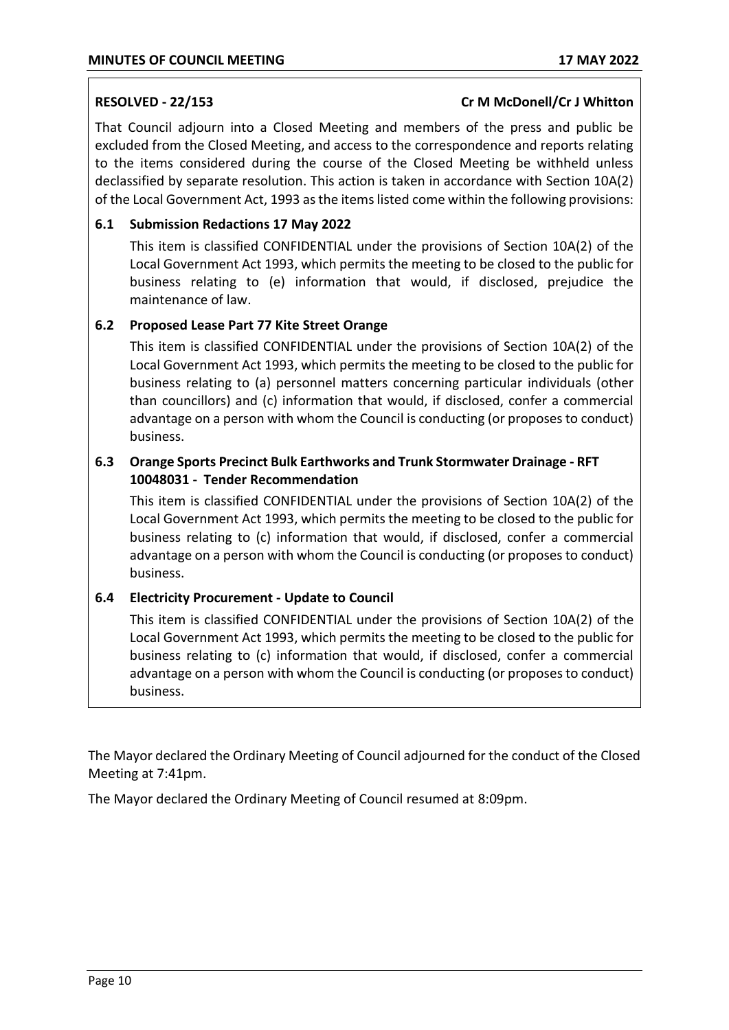### **RESOLVED - 22/153 Cr M McDonell/Cr J Whitton**

That Council adjourn into a Closed Meeting and members of the press and public be excluded from the Closed Meeting, and access to the correspondence and reports relating to the items considered during the course of the Closed Meeting be withheld unless declassified by separate resolution. This action is taken in accordance with Section 10A(2) of the Local Government Act, 1993 as the items listed come within the following provisions:

## **6.1 Submission Redactions 17 May 2022**

This item is classified CONFIDENTIAL under the provisions of Section 10A(2) of the Local Government Act 1993, which permits the meeting to be closed to the public for business relating to (e) information that would, if disclosed, prejudice the maintenance of law.

## **6.2 Proposed Lease Part 77 Kite Street Orange**

This item is classified CONFIDENTIAL under the provisions of Section 10A(2) of the Local Government Act 1993, which permits the meeting to be closed to the public for business relating to (a) personnel matters concerning particular individuals (other than councillors) and (c) information that would, if disclosed, confer a commercial advantage on a person with whom the Council is conducting (or proposes to conduct) business.

## **6.3 Orange Sports Precinct Bulk Earthworks and Trunk Stormwater Drainage - RFT 10048031 - Tender Recommendation**

This item is classified CONFIDENTIAL under the provisions of Section 10A(2) of the Local Government Act 1993, which permits the meeting to be closed to the public for business relating to (c) information that would, if disclosed, confer a commercial advantage on a person with whom the Council is conducting (or proposes to conduct) business.

## **6.4 Electricity Procurement - Update to Council**

This item is classified CONFIDENTIAL under the provisions of Section 10A(2) of the Local Government Act 1993, which permits the meeting to be closed to the public for business relating to (c) information that would, if disclosed, confer a commercial advantage on a person with whom the Council is conducting (or proposes to conduct) business.

The Mayor declared the Ordinary Meeting of Council adjourned for the conduct of the Closed Meeting at 7:41pm.

The Mayor declared the Ordinary Meeting of Council resumed at 8:09pm.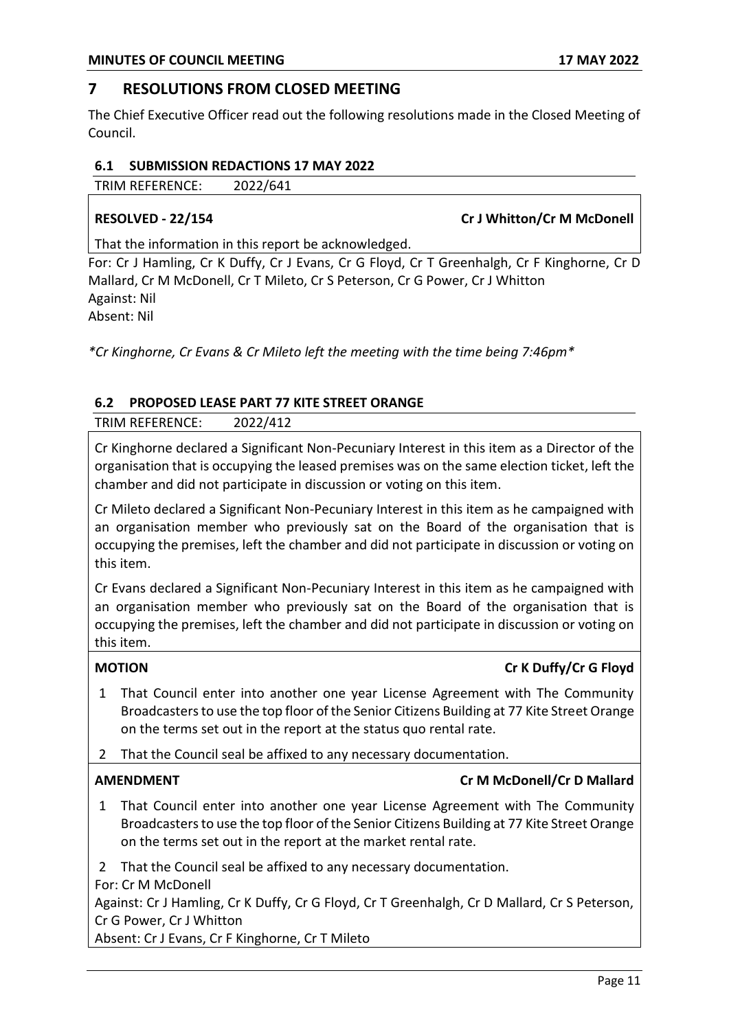## **7 RESOLUTIONS FROM CLOSED MEETING**

The Chief Executive Officer read out the following resolutions made in the Closed Meeting of Council.

### **6.1 SUBMISSION REDACTIONS 17 MAY 2022**

TRIM REFERENCE: 2022/641

**RESOLVED - 22/154 Cr J Whitton/Cr M McDonell** 

That the information in this report be acknowledged.

For: Cr J Hamling, Cr K Duffy, Cr J Evans, Cr G Floyd, Cr T Greenhalgh, Cr F Kinghorne, Cr D Mallard, Cr M McDonell, Cr T Mileto, Cr S Peterson, Cr G Power, Cr J Whitton Against: Nil Absent: Nil

*\*Cr Kinghorne, Cr Evans & Cr Mileto left the meeting with the time being 7:46pm\**

## **6.2 PROPOSED LEASE PART 77 KITE STREET ORANGE**

TRIM REFERENCE: 2022/412

Cr Kinghorne declared a Significant Non-Pecuniary Interest in this item as a Director of the organisation that is occupying the leased premises was on the same election ticket, left the chamber and did not participate in discussion or voting on this item.

Cr Mileto declared a Significant Non-Pecuniary Interest in this item as he campaigned with an organisation member who previously sat on the Board of the organisation that is occupying the premises, left the chamber and did not participate in discussion or voting on this item.

Cr Evans declared a Significant Non-Pecuniary Interest in this item as he campaigned with an organisation member who previously sat on the Board of the organisation that is occupying the premises, left the chamber and did not participate in discussion or voting on this item.

## **MOTION Cr K Duffy/Cr G Floyd**

- 1 That Council enter into another one year License Agreement with The Community Broadcasters to use the top floor of the Senior Citizens Building at 77 Kite Street Orange on the terms set out in the report at the status quo rental rate.
- 2 That the Council seal be affixed to any necessary documentation.

## **AMENDMENT Cr M McDonell/Cr D Mallard**

1 That Council enter into another one year License Agreement with The Community Broadcasters to use the top floor of the Senior Citizens Building at 77 Kite Street Orange on the terms set out in the report at the market rental rate.

2 That the Council seal be affixed to any necessary documentation.

For: Cr M McDonell

Against: Cr J Hamling, Cr K Duffy, Cr G Floyd, Cr T Greenhalgh, Cr D Mallard, Cr S Peterson, Cr G Power, Cr J Whitton

Absent: Cr J Evans, Cr F Kinghorne, Cr T Mileto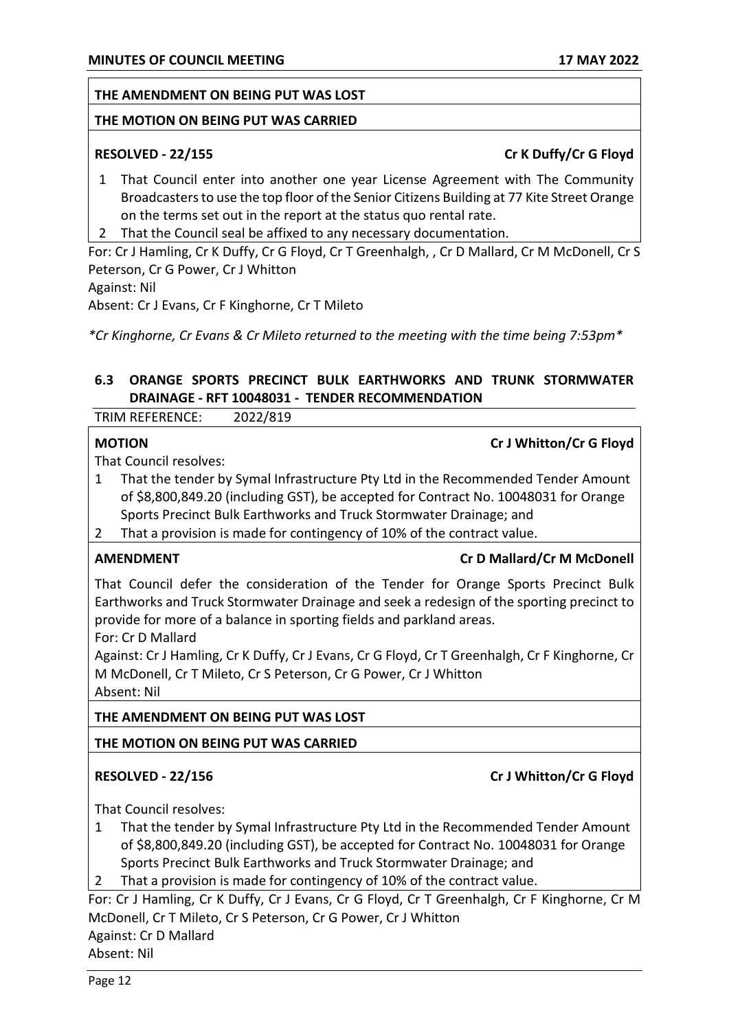### **THE AMENDMENT ON BEING PUT WAS LOST**

### **THE MOTION ON BEING PUT WAS CARRIED**

## **RESOLVED - 22/155 Cr K Duffy/Cr G Floyd**

- 1 That Council enter into another one year License Agreement with The Community Broadcasters to use the top floor of the Senior Citizens Building at 77 Kite Street Orange on the terms set out in the report at the status quo rental rate.
- 2 That the Council seal be affixed to any necessary documentation.

For: Cr J Hamling, Cr K Duffy, Cr G Floyd, Cr T Greenhalgh, , Cr D Mallard, Cr M McDonell, Cr S Peterson, Cr G Power, Cr J Whitton

Against: Nil

Absent: Cr J Evans, Cr F Kinghorne, Cr T Mileto

*\*Cr Kinghorne, Cr Evans & Cr Mileto returned to the meeting with the time being 7:53pm\**

## **6.3 ORANGE SPORTS PRECINCT BULK EARTHWORKS AND TRUNK STORMWATER DRAINAGE - RFT 10048031 - TENDER RECOMMENDATION**

TRIM REFERENCE: 2022/819

### **MOTION Cr J Whitton/Cr G Floyd**

That Council resolves:

- 1 That the tender by Symal Infrastructure Pty Ltd in the Recommended Tender Amount of \$8,800,849.20 (including GST), be accepted for Contract No. 10048031 for Orange Sports Precinct Bulk Earthworks and Truck Stormwater Drainage; and
- 2 That a provision is made for contingency of 10% of the contract value.

### **AMENDMENT Cr D Mallard/Cr M McDonell**

That Council defer the consideration of the Tender for Orange Sports Precinct Bulk Earthworks and Truck Stormwater Drainage and seek a redesign of the sporting precinct to provide for more of a balance in sporting fields and parkland areas.

For: Cr D Mallard

Against: Cr J Hamling, Cr K Duffy, Cr J Evans, Cr G Floyd, Cr T Greenhalgh, Cr F Kinghorne, Cr M McDonell, Cr T Mileto, Cr S Peterson, Cr G Power, Cr J Whitton Absent: Nil

### **THE AMENDMENT ON BEING PUT WAS LOST**

### **THE MOTION ON BEING PUT WAS CARRIED**

## **RESOLVED - 22/156 Cr J Whitton/Cr G Floyd**

That Council resolves:

1 That the tender by Symal Infrastructure Pty Ltd in the Recommended Tender Amount of \$8,800,849.20 (including GST), be accepted for Contract No. 10048031 for Orange Sports Precinct Bulk Earthworks and Truck Stormwater Drainage; and

2 That a provision is made for contingency of 10% of the contract value.

For: Cr J Hamling, Cr K Duffy, Cr J Evans, Cr G Floyd, Cr T Greenhalgh, Cr F Kinghorne, Cr M McDonell, Cr T Mileto, Cr S Peterson, Cr G Power, Cr J Whitton

Against: Cr D Mallard

Absent: Nil